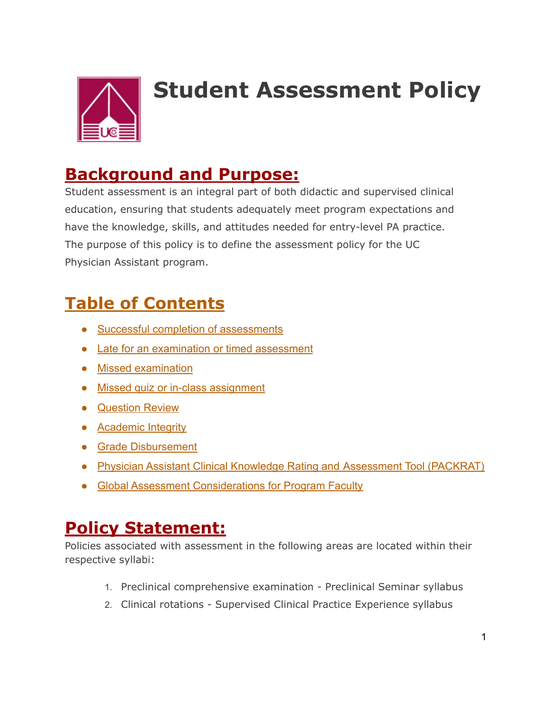

# **Student Assessment Policy**

### **Background and Purpose:**

Student assessment is an integral part of both didactic and supervised clinical education, ensuring that students adequately meet program expectations and have the knowledge, skills, and attitudes needed for entry-level PA practice. The purpose of this policy is to define the assessment policy for the UC Physician Assistant program.

# **Table of Contents**

- Successful completion of assessments
- Late for an examination or timed assessment
- Missed examination
- Missed quiz or in-class assignment
- Question Review
- Academic Integrity
- Grade Disbursement
- Physician Assistant Clinical Knowledge Rating and Assessment Tool (PACKRAT)
- Global Assessment Considerations for Program Faculty

## **Policy Statement:**

Policies associated with assessment in the following areas are located within their respective syllabi:

- 1. Preclinical comprehensive examination Preclinical Seminar syllabus
- 2. Clinical rotations Supervised Clinical Practice Experience syllabus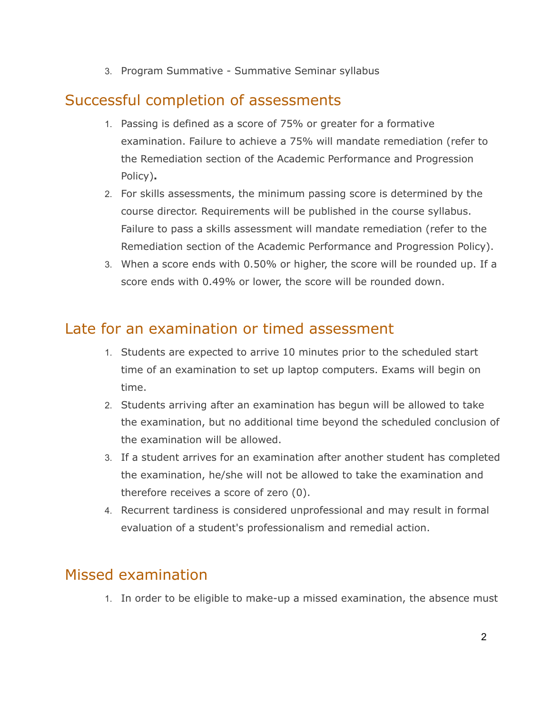3. Program Summative - Summative Seminar syllabus

#### Successful completion of assessments

- 1. Passing is defined as a score of 75% or greater for a formative examination. Failure to achieve a 75% will mandate remediation (refer to the Remediation section of the Academic Performance and Progression Policy)**.**
- 2. For skills assessments, the minimum passing score is determined by the course director. Requirements will be published in the course syllabus. Failure to pass a skills assessment will mandate remediation (refer to the Remediation section of the Academic Performance and Progression Policy).
- 3. When a score ends with 0.50% or higher, the score will be rounded up. If a score ends with 0.49% or lower, the score will be rounded down.

#### Late for an examination or timed assessment

- 1. Students are expected to arrive 10 minutes prior to the scheduled start time of an examination to set up laptop computers. Exams will begin on time.
- 2. Students arriving after an examination has begun will be allowed to take the examination, but no additional time beyond the scheduled conclusion of the examination will be allowed.
- 3. If a student arrives for an examination after another student has completed the examination, he/she will not be allowed to take the examination and therefore receives a score of zero (0).
- 4. Recurrent tardiness is considered unprofessional and may result in formal evaluation of a student's professionalism and remedial action.

#### Missed examination

1. In order to be eligible to make-up a missed examination, the absence must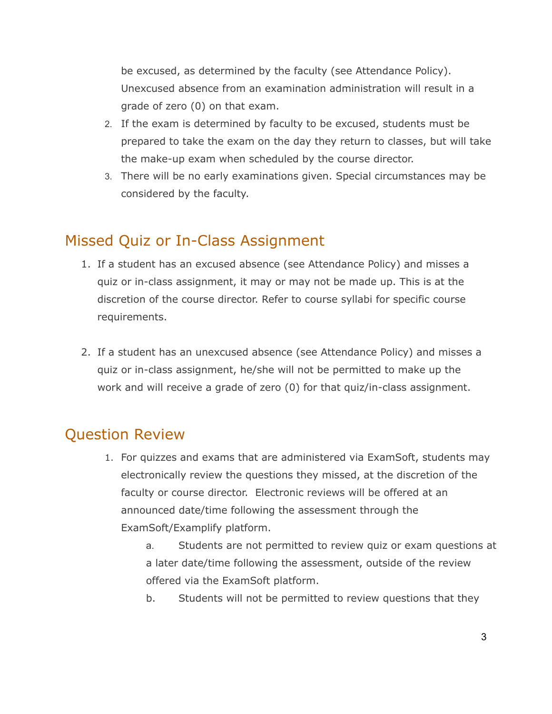be excused, as determined by the faculty (see Attendance Policy). Unexcused absence from an examination administration will result in a grade of zero (0) on that exam.

- 2. If the exam is determined by faculty to be excused, students must be prepared to take the exam on the day they return to classes, but will take the make-up exam when scheduled by the course director.
- 3. There will be no early examinations given. Special circumstances may be considered by the faculty.

#### Missed Quiz or In-Class Assignment

- 1. If a student has an excused absence (see Attendance Policy) and misses a quiz or in-class assignment, it may or may not be made up. This is at the discretion of the course director. Refer to course syllabi for specific course requirements.
- 2. If a student has an unexcused absence (see Attendance Policy) and misses a quiz or in-class assignment, he/she will not be permitted to make up the work and will receive a grade of zero (0) for that quiz/in-class assignment.

#### Question Review

1. For quizzes and exams that are administered via ExamSoft, students may electronically review the questions they missed, at the discretion of the faculty or course director. Electronic reviews will be offered at an announced date/time following the assessment through the ExamSoft/Examplify platform.

> a. Students are not permitted to review quiz or exam questions at a later date/time following the assessment, outside of the review offered via the ExamSoft platform.

b. Students will not be permitted to review questions that they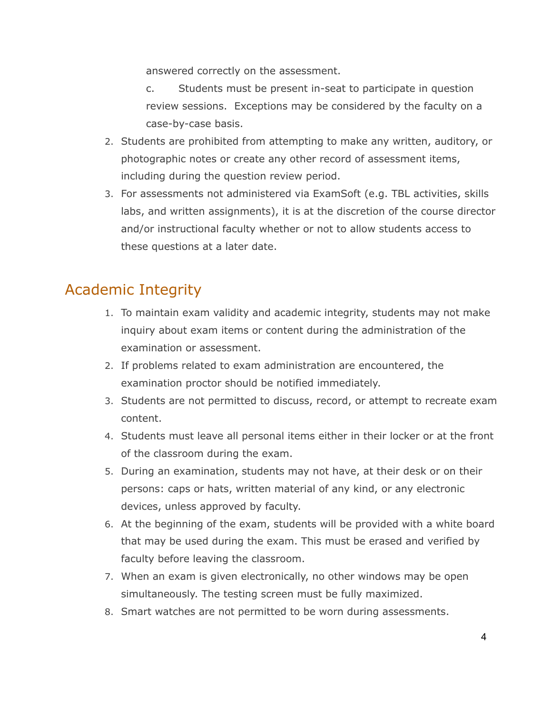answered correctly on the assessment.

- c. Students must be present in-seat to participate in question review sessions. Exceptions may be considered by the faculty on a case-by-case basis.
- 2. Students are prohibited from attempting to make any written, auditory, or photographic notes or create any other record of assessment items, including during the question review period.
- 3. For assessments not administered via ExamSoft (e.g. TBL activities, skills labs, and written assignments), it is at the discretion of the course director and/or instructional faculty whether or not to allow students access to these questions at a later date.

#### Academic Integrity

- 1. To maintain exam validity and academic integrity, students may not make inquiry about exam items or content during the administration of the examination or assessment.
- 2. If problems related to exam administration are encountered, the examination proctor should be notified immediately.
- 3. Students are not permitted to discuss, record, or attempt to recreate exam content.
- 4. Students must leave all personal items either in their locker or at the front of the classroom during the exam.
- 5. During an examination, students may not have, at their desk or on their persons: caps or hats, written material of any kind, or any electronic devices, unless approved by faculty.
- 6. At the beginning of the exam, students will be provided with a white board that may be used during the exam. This must be erased and verified by faculty before leaving the classroom.
- 7. When an exam is given electronically, no other windows may be open simultaneously. The testing screen must be fully maximized.
- 8. Smart watches are not permitted to be worn during assessments.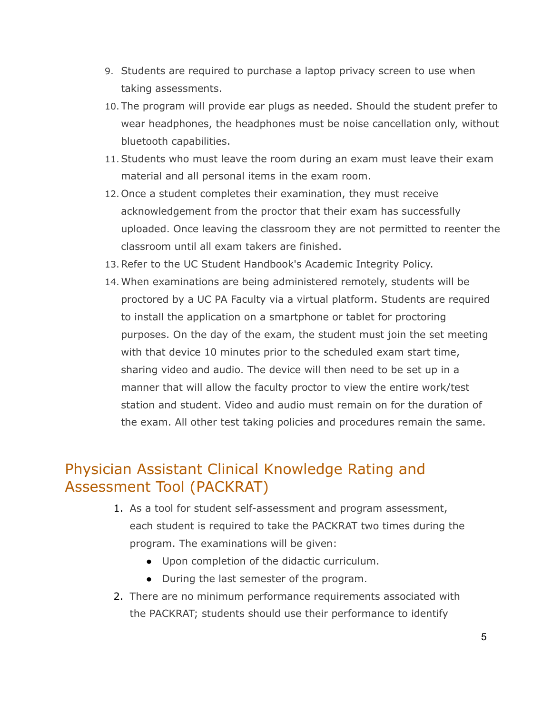- 9. Students are required to purchase a laptop privacy screen to use when taking assessments.
- 10.The program will provide ear plugs as needed. Should the student prefer to wear headphones, the headphones must be noise cancellation only, without bluetooth capabilities.
- 11.Students who must leave the room during an exam must leave their exam material and all personal items in the exam room.
- 12.Once a student completes their examination, they must receive acknowledgement from the proctor that their exam has successfully uploaded. Once leaving the classroom they are not permitted to reenter the classroom until all exam takers are finished.
- 13.Refer to the UC Student Handbook's Academic Integrity Policy.
- 14.When examinations are being administered remotely, students will be proctored by a UC PA Faculty via a virtual platform. Students are required to install the application on a smartphone or tablet for proctoring purposes. On the day of the exam, the student must join the set meeting with that device 10 minutes prior to the scheduled exam start time, sharing video and audio. The device will then need to be set up in a manner that will allow the faculty proctor to view the entire work/test station and student. Video and audio must remain on for the duration of the exam. All other test taking policies and procedures remain the same.

#### Physician Assistant Clinical Knowledge Rating and Assessment Tool (PACKRAT)

- 1. As a tool for student self-assessment and program assessment, each student is required to take the PACKRAT two times during the program. The examinations will be given:
	- Upon completion of the didactic curriculum.
	- During the last semester of the program.
- 2. There are no minimum performance requirements associated with the PACKRAT; students should use their performance to identify